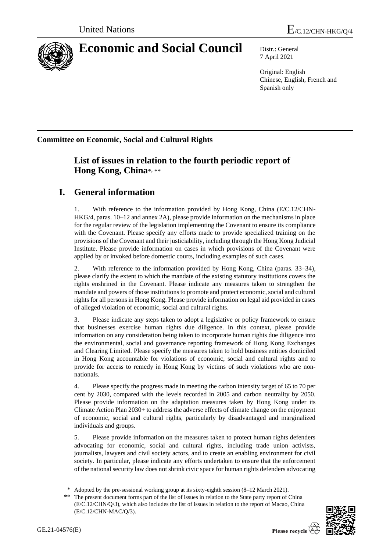

# **Economic and Social Council** Distr.: General

7 April 2021

Original: English Chinese, English, French and Spanish only

**Committee on Economic, Social and Cultural Rights**

## **List of issues in relation to the fourth periodic report of Hong Kong, China**\* , \*\*

# **I. General information**

1. With reference to the information provided by Hong Kong, China (E/C.12/CHN-HKG/4, paras. 10–12 and annex 2A), please provide information on the mechanisms in place for the regular review of the legislation implementing the Covenant to ensure its compliance with the Covenant. Please specify any efforts made to provide specialized training on the provisions of the Covenant and their justiciability, including through the Hong Kong Judicial Institute. Please provide information on cases in which provisions of the Covenant were applied by or invoked before domestic courts, including examples of such cases.

2. With reference to the information provided by Hong Kong, China (paras. 33–34), please clarify the extent to which the mandate of the existing statutory institutions covers the rights enshrined in the Covenant. Please indicate any measures taken to strengthen the mandate and powers of those institutions to promote and protect economic, social and cultural rights for all persons in Hong Kong. Please provide information on legal aid provided in cases of alleged violation of economic, social and cultural rights.

3. Please indicate any steps taken to adopt a legislative or policy framework to ensure that businesses exercise human rights due diligence. In this context, please provide information on any consideration being taken to incorporate human rights due diligence into the environmental, social and governance reporting framework of Hong Kong Exchanges and Clearing Limited. Please specify the measures taken to hold business entities domiciled in Hong Kong accountable for violations of economic, social and cultural rights and to provide for access to remedy in Hong Kong by victims of such violations who are nonnationals.

4. Please specify the progress made in meeting the carbon intensity target of 65 to 70 per cent by 2030, compared with the levels recorded in 2005 and carbon neutrality by 2050. Please provide information on the adaptation measures taken by Hong Kong under its Climate Action Plan 2030+ to address the adverse effects of climate change on the enjoyment of economic, social and cultural rights, particularly by disadvantaged and marginalized individuals and groups.

5. Please provide information on the measures taken to protect human rights defenders advocating for economic, social and cultural rights, including trade union activists, journalists, lawyers and civil society actors, and to create an enabling environment for civil society. In particular, please indicate any efforts undertaken to ensure that the enforcement of the national security law does not shrink civic space for human rights defenders advocating

<sup>\*\*</sup> The present document forms part of the list of issues in relation to the State party report of China (E/C.12/CHN/Q/3), which also includes the list of issues in relation to the report of Macao, China (E/C.12/CHN-MAC/Q/3).



Adopted by the pre-sessional working group at its sixty-eighth session (8–12 March 2021).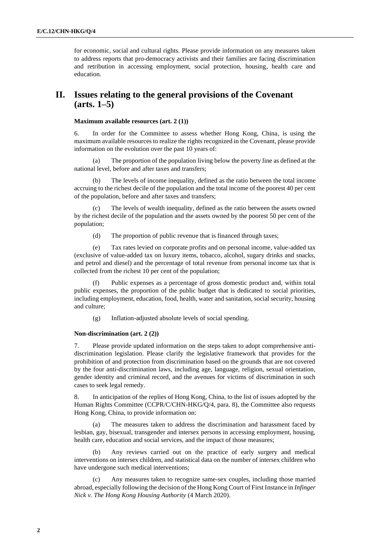for economic, social and cultural rights. Please provide information on any measures taken to address reports that pro-democracy activists and their families are facing discrimination and retribution in accessing employment, social protection, housing, health care and education.

### **II. Issues relating to the general provisions of the Covenant (arts. 1–5)**

#### **Maximum available resources (art. 2 (1))**

6. In order for the Committee to assess whether Hong Kong, China, is using the maximum available resources to realize the rights recognized in the Covenant, please provide information on the evolution over the past 10 years of:

(a) The proportion of the population living below the poverty line as defined at the national level, before and after taxes and transfers;

(b) The levels of income inequality, defined as the ratio between the total income accruing to the richest decile of the population and the total income of the poorest 40 per cent of the population, before and after taxes and transfers;

(c) The levels of wealth inequality, defined as the ratio between the assets owned by the richest decile of the population and the assets owned by the poorest 50 per cent of the population;

(d) The proportion of public revenue that is financed through taxes;

(e) Tax rates levied on corporate profits and on personal income, value-added tax (exclusive of value-added tax on luxury items, tobacco, alcohol, sugary drinks and snacks, and petrol and diesel) and the percentage of total revenue from personal income tax that is collected from the richest 10 per cent of the population;

(f) Public expenses as a percentage of gross domestic product and, within total public expenses, the proportion of the public budget that is dedicated to social priorities, including employment, education, food, health, water and sanitation, social security, housing and culture;

(g) Inflation-adjusted absolute levels of social spending.

#### **Non-discrimination (art. 2 (2))**

7. Please provide updated information on the steps taken to adopt comprehensive antidiscrimination legislation. Please clarify the legislative framework that provides for the prohibition of and protection from discrimination based on the grounds that are not covered by the four anti-discrimination laws, including age, language, religion, sexual orientation, gender identity and criminal record, and the avenues for victims of discrimination in such cases to seek legal remedy.

8. In anticipation of the replies of Hong Kong, China, to the list of issues adopted by the Human Rights Committee (CCPR/C/CHN-HKG/Q/4, para. 8), the Committee also requests Hong Kong, China, to provide information on:

The measures taken to address the discrimination and harassment faced by lesbian, gay, bisexual, transgender and intersex persons in accessing employment, housing, health care, education and social services, and the impact of those measures;

Any reviews carried out on the practice of early surgery and medical interventions on intersex children, and statistical data on the number of intersex children who have undergone such medical interventions;

(c) Any measures taken to recognize same-sex couples, including those married abroad, especially following the decision of the Hong Kong Court of First Instance in *Infinger Nick v. The Hong Kong Housing Authority* (4 March 2020).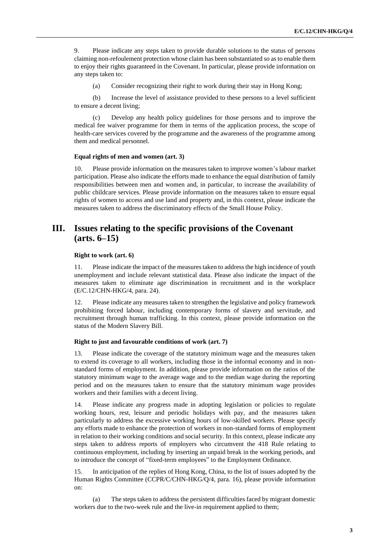9. Please indicate any steps taken to provide durable solutions to the status of persons claiming non-refoulement protection whose claim has been substantiated so as to enable them to enjoy their rights guaranteed in the Covenant. In particular, please provide information on any steps taken to:

(a) Consider recognizing their right to work during their stay in Hong Kong;

(b) Increase the level of assistance provided to these persons to a level sufficient to ensure a decent living;

(c) Develop any health policy guidelines for those persons and to improve the medical fee waiver programme for them in terms of the application process, the scope of health-care services covered by the programme and the awareness of the programme among them and medical personnel.

#### **Equal rights of men and women (art. 3)**

10. Please provide information on the measures taken to improve women's labour market participation. Please also indicate the efforts made to enhance the equal distribution of family responsibilities between men and women and, in particular, to increase the availability of public childcare services. Please provide information on the measures taken to ensure equal rights of women to access and use land and property and, in this context, please indicate the measures taken to address the discriminatory effects of the Small House Policy.

### **III. Issues relating to the specific provisions of the Covenant (arts. 6–15)**

#### **Right to work (art. 6)**

11. Please indicate the impact of the measures taken to address the high incidence of youth unemployment and include relevant statistical data. Please also indicate the impact of the measures taken to eliminate age discrimination in recruitment and in the workplace (E/C.12/CHN-HKG/4, para. 24).

12. Please indicate any measures taken to strengthen the legislative and policy framework prohibiting forced labour, including contemporary forms of slavery and servitude, and recruitment through human trafficking. In this context, please provide information on the status of the Modern Slavery Bill.

#### **Right to just and favourable conditions of work (art. 7)**

13. Please indicate the coverage of the statutory minimum wage and the measures taken to extend its coverage to all workers, including those in the informal economy and in nonstandard forms of employment. In addition, please provide information on the ratios of the statutory minimum wage to the average wage and to the median wage during the reporting period and on the measures taken to ensure that the statutory minimum wage provides workers and their families with a decent living.

14. Please indicate any progress made in adopting legislation or policies to regulate working hours, rest, leisure and periodic holidays with pay, and the measures taken particularly to address the excessive working hours of low-skilled workers. Please specify any efforts made to enhance the protection of workers in non-standard forms of employment in relation to their working conditions and social security. In this context, please indicate any steps taken to address reports of employers who circumvent the 418 Rule relating to continuous employment, including by inserting an unpaid break in the working periods, and to introduce the concept of "fixed-term employees" to the Employment Ordinance.

15. In anticipation of the replies of Hong Kong, China, to the list of issues adopted by the Human Rights Committee (CCPR/C/CHN-HKG/Q/4, para. 16), please provide information on:

(a) The steps taken to address the persistent difficulties faced by migrant domestic workers due to the two-week rule and the live-in requirement applied to them;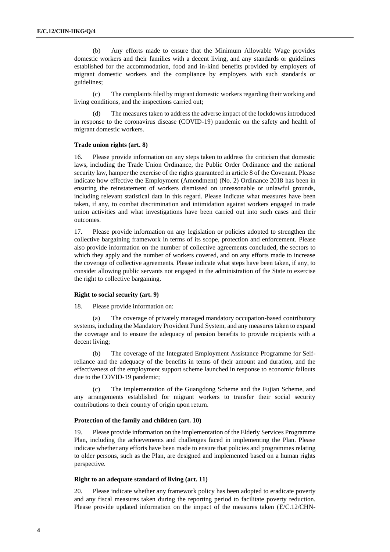(b) Any efforts made to ensure that the Minimum Allowable Wage provides domestic workers and their families with a decent living, and any standards or guidelines established for the accommodation, food and in-kind benefits provided by employers of migrant domestic workers and the compliance by employers with such standards or guidelines;

(c) The complaints filed by migrant domestic workers regarding their working and living conditions, and the inspections carried out;

The measures taken to address the adverse impact of the lockdowns introduced in response to the coronavirus disease (COVID-19) pandemic on the safety and health of migrant domestic workers.

#### **Trade union rights (art. 8)**

16. Please provide information on any steps taken to address the criticism that domestic laws, including the Trade Union Ordinance, the Public Order Ordinance and the national security law, hamper the exercise of the rights guaranteed in article 8 of the Covenant. Please indicate how effective the Employment (Amendment) (No. 2) Ordinance 2018 has been in ensuring the reinstatement of workers dismissed on unreasonable or unlawful grounds, including relevant statistical data in this regard. Please indicate what measures have been taken, if any, to combat discrimination and intimidation against workers engaged in trade union activities and what investigations have been carried out into such cases and their outcomes.

17. Please provide information on any legislation or policies adopted to strengthen the collective bargaining framework in terms of its scope, protection and enforcement. Please also provide information on the number of collective agreements concluded, the sectors to which they apply and the number of workers covered, and on any efforts made to increase the coverage of collective agreements. Please indicate what steps have been taken, if any, to consider allowing public servants not engaged in the administration of the State to exercise the right to collective bargaining.

#### **Right to social security (art. 9)**

18. Please provide information on:

The coverage of privately managed mandatory occupation-based contributory systems, including the Mandatory Provident Fund System, and any measures taken to expand the coverage and to ensure the adequacy of pension benefits to provide recipients with a decent living;

(b) The coverage of the Integrated Employment Assistance Programme for Selfreliance and the adequacy of the benefits in terms of their amount and duration, and the effectiveness of the employment support scheme launched in response to economic fallouts due to the COVID-19 pandemic;

(c) The implementation of the Guangdong Scheme and the Fujian Scheme, and any arrangements established for migrant workers to transfer their social security contributions to their country of origin upon return.

#### **Protection of the family and children (art. 10)**

19. Please provide information on the implementation of the Elderly Services Programme Plan, including the achievements and challenges faced in implementing the Plan. Please indicate whether any efforts have been made to ensure that policies and programmes relating to older persons, such as the Plan, are designed and implemented based on a human rights perspective.

#### **Right to an adequate standard of living (art. 11)**

20. Please indicate whether any framework policy has been adopted to eradicate poverty and any fiscal measures taken during the reporting period to facilitate poverty reduction. Please provide updated information on the impact of the measures taken (E/C.12/CHN-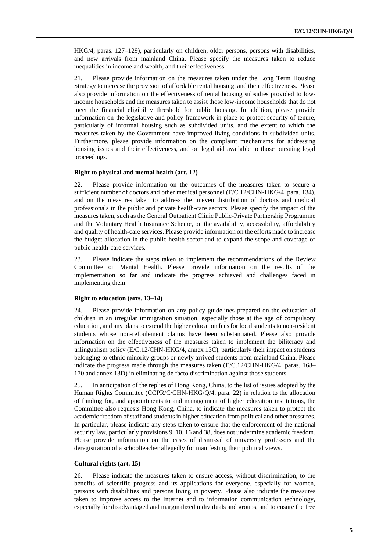HKG/4, paras. 127–129), particularly on children, older persons, persons with disabilities, and new arrivals from mainland China. Please specify the measures taken to reduce inequalities in income and wealth, and their effectiveness.

21. Please provide information on the measures taken under the Long Term Housing Strategy to increase the provision of affordable rental housing, and their effectiveness. Please also provide information on the effectiveness of rental housing subsidies provided to lowincome households and the measures taken to assist those low-income households that do not meet the financial eligibility threshold for public housing. In addition, please provide information on the legislative and policy framework in place to protect security of tenure, particularly of informal housing such as subdivided units, and the extent to which the measures taken by the Government have improved living conditions in subdivided units. Furthermore, please provide information on the complaint mechanisms for addressing housing issues and their effectiveness, and on legal aid available to those pursuing legal proceedings.

#### **Right to physical and mental health (art. 12)**

22. Please provide information on the outcomes of the measures taken to secure a sufficient number of doctors and other medical personnel (E/C.12/CHN-HKG/4, para. 134), and on the measures taken to address the uneven distribution of doctors and medical professionals in the public and private health-care sectors. Please specify the impact of the measures taken, such as the General Outpatient Clinic Public-Private Partnership Programme and the Voluntary Health Insurance Scheme, on the availability, accessibility, affordability and quality of health-care services. Please provide information on the efforts made to increase the budget allocation in the public health sector and to expand the scope and coverage of public health-care services.

23. Please indicate the steps taken to implement the recommendations of the Review Committee on Mental Health. Please provide information on the results of the implementation so far and indicate the progress achieved and challenges faced in implementing them.

#### **Right to education (arts. 13–14)**

24. Please provide information on any policy guidelines prepared on the education of children in an irregular immigration situation, especially those at the age of compulsory education, and any plans to extend the higher education fees for local students to non-resident students whose non-refoulement claims have been substantiated. Please also provide information on the effectiveness of the measures taken to implement the biliteracy and trilingualism policy (E/C.12/CHN-HKG/4, annex 13C), particularly their impact on students belonging to ethnic minority groups or newly arrived students from mainland China. Please indicate the progress made through the measures taken (E/C.12/CHN-HKG/4, paras. 168– 170 and annex 13D) in eliminating de facto discrimination against those students.

25. In anticipation of the replies of Hong Kong, China, to the list of issues adopted by the Human Rights Committee (CCPR/C/CHN-HKG/Q/4, para. 22) in relation to the allocation of funding for, and appointments to and management of higher education institutions, the Committee also requests Hong Kong, China, to indicate the measures taken to protect the academic freedom of staff and students in higher education from political and other pressures. In particular, please indicate any steps taken to ensure that the enforcement of the national security law, particularly provisions 9, 10, 16 and 38, does not undermine academic freedom. Please provide information on the cases of dismissal of university professors and the deregistration of a schoolteacher allegedly for manifesting their political views.

#### **Cultural rights (art. 15)**

26. Please indicate the measures taken to ensure access, without discrimination, to the benefits of scientific progress and its applications for everyone, especially for women, persons with disabilities and persons living in poverty. Please also indicate the measures taken to improve access to the Internet and to information communication technology, especially for disadvantaged and marginalized individuals and groups, and to ensure the free